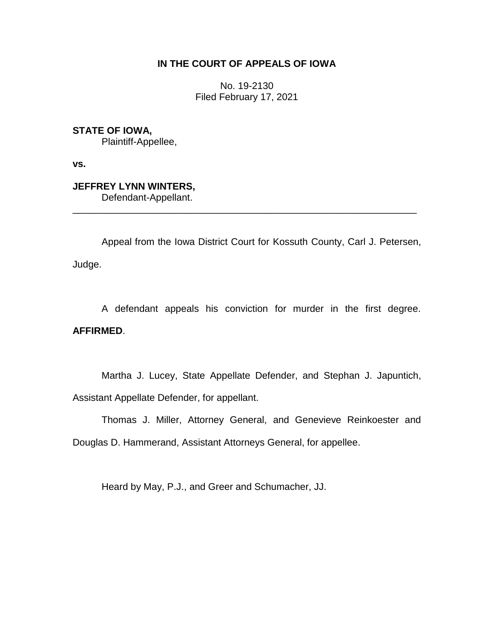# **IN THE COURT OF APPEALS OF IOWA**

No. 19-2130 Filed February 17, 2021

**STATE OF IOWA,**

Plaintiff-Appellee,

**vs.**

# **JEFFREY LYNN WINTERS,**

Defendant-Appellant.

Appeal from the Iowa District Court for Kossuth County, Carl J. Petersen, Judge.

\_\_\_\_\_\_\_\_\_\_\_\_\_\_\_\_\_\_\_\_\_\_\_\_\_\_\_\_\_\_\_\_\_\_\_\_\_\_\_\_\_\_\_\_\_\_\_\_\_\_\_\_\_\_\_\_\_\_\_\_\_\_\_\_

A defendant appeals his conviction for murder in the first degree. **AFFIRMED**.

Martha J. Lucey, State Appellate Defender, and Stephan J. Japuntich, Assistant Appellate Defender, for appellant.

Thomas J. Miller, Attorney General, and Genevieve Reinkoester and

Douglas D. Hammerand, Assistant Attorneys General, for appellee.

Heard by May, P.J., and Greer and Schumacher, JJ.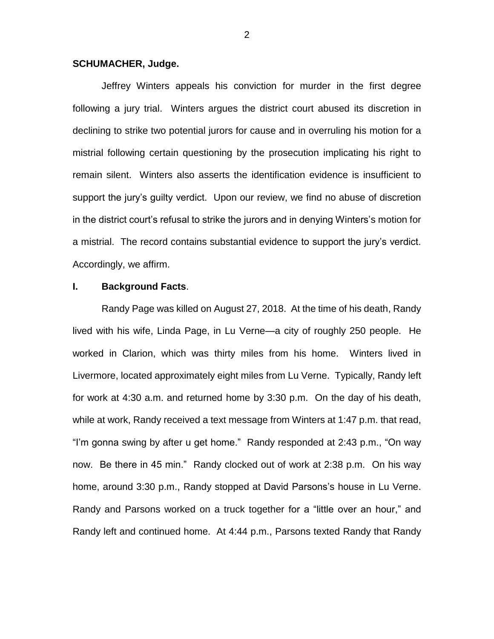### **SCHUMACHER, Judge.**

Jeffrey Winters appeals his conviction for murder in the first degree following a jury trial. Winters argues the district court abused its discretion in declining to strike two potential jurors for cause and in overruling his motion for a mistrial following certain questioning by the prosecution implicating his right to remain silent. Winters also asserts the identification evidence is insufficient to support the jury's guilty verdict. Upon our review, we find no abuse of discretion in the district court's refusal to strike the jurors and in denying Winters's motion for a mistrial. The record contains substantial evidence to support the jury's verdict. Accordingly, we affirm.

# **I. Background Facts**.

Randy Page was killed on August 27, 2018. At the time of his death, Randy lived with his wife, Linda Page, in Lu Verne—a city of roughly 250 people. He worked in Clarion, which was thirty miles from his home. Winters lived in Livermore, located approximately eight miles from Lu Verne. Typically, Randy left for work at 4:30 a.m. and returned home by 3:30 p.m. On the day of his death, while at work, Randy received a text message from Winters at 1:47 p.m. that read, "I'm gonna swing by after u get home." Randy responded at 2:43 p.m., "On way now. Be there in 45 min." Randy clocked out of work at 2:38 p.m. On his way home, around 3:30 p.m., Randy stopped at David Parsons's house in Lu Verne. Randy and Parsons worked on a truck together for a "little over an hour," and Randy left and continued home. At 4:44 p.m., Parsons texted Randy that Randy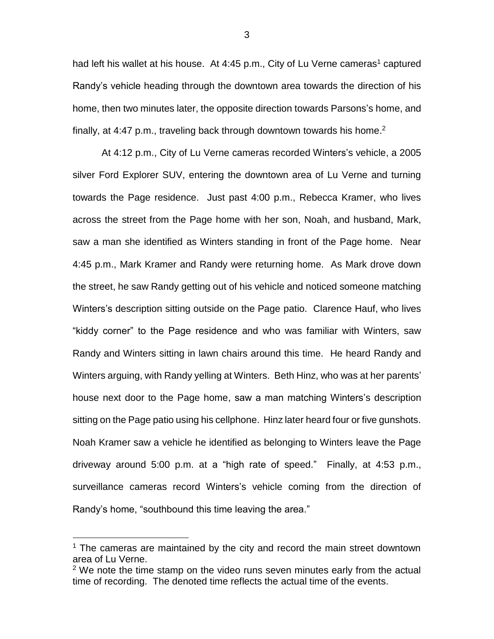had left his wallet at his house. At 4:45 p.m., City of Lu Verne cameras<sup>1</sup> captured Randy's vehicle heading through the downtown area towards the direction of his home, then two minutes later, the opposite direction towards Parsons's home, and finally, at 4:47 p.m., traveling back through downtown towards his home.<sup>2</sup>

At 4:12 p.m., City of Lu Verne cameras recorded Winters's vehicle, a 2005 silver Ford Explorer SUV, entering the downtown area of Lu Verne and turning towards the Page residence. Just past 4:00 p.m., Rebecca Kramer, who lives across the street from the Page home with her son, Noah, and husband, Mark, saw a man she identified as Winters standing in front of the Page home. Near 4:45 p.m., Mark Kramer and Randy were returning home. As Mark drove down the street, he saw Randy getting out of his vehicle and noticed someone matching Winters's description sitting outside on the Page patio. Clarence Hauf, who lives "kiddy corner" to the Page residence and who was familiar with Winters, saw Randy and Winters sitting in lawn chairs around this time. He heard Randy and Winters arguing, with Randy yelling at Winters. Beth Hinz, who was at her parents' house next door to the Page home, saw a man matching Winters's description sitting on the Page patio using his cellphone. Hinz later heard four or five gunshots. Noah Kramer saw a vehicle he identified as belonging to Winters leave the Page driveway around 5:00 p.m. at a "high rate of speed." Finally, at 4:53 p.m., surveillance cameras record Winters's vehicle coming from the direction of Randy's home, "southbound this time leaving the area."

 $\overline{a}$ 

 $1$  The cameras are maintained by the city and record the main street downtown area of Lu Verne.

 $2$  We note the time stamp on the video runs seven minutes early from the actual time of recording. The denoted time reflects the actual time of the events.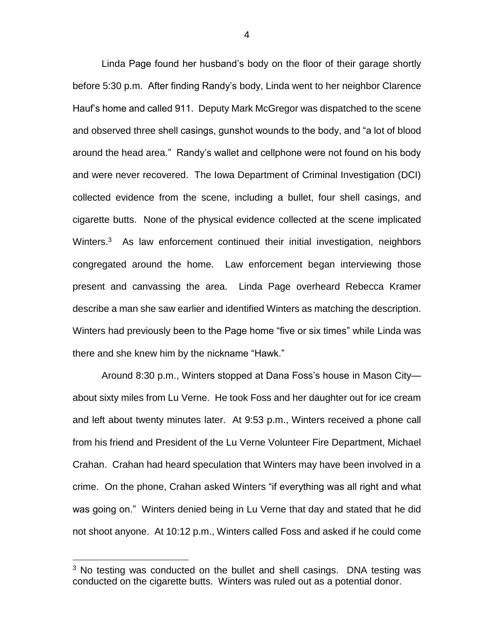Linda Page found her husband's body on the floor of their garage shortly before 5:30 p.m. After finding Randy's body, Linda went to her neighbor Clarence Hauf's home and called 911. Deputy Mark McGregor was dispatched to the scene and observed three shell casings, gunshot wounds to the body, and "a lot of blood around the head area." Randy's wallet and cellphone were not found on his body and were never recovered. The Iowa Department of Criminal Investigation (DCI) collected evidence from the scene, including a bullet, four shell casings, and cigarette butts. None of the physical evidence collected at the scene implicated Winters.<sup>3</sup> As law enforcement continued their initial investigation, neighbors congregated around the home. Law enforcement began interviewing those present and canvassing the area. Linda Page overheard Rebecca Kramer describe a man she saw earlier and identified Winters as matching the description. Winters had previously been to the Page home "five or six times" while Linda was there and she knew him by the nickname "Hawk."

Around 8:30 p.m., Winters stopped at Dana Foss's house in Mason City about sixty miles from Lu Verne. He took Foss and her daughter out for ice cream and left about twenty minutes later. At 9:53 p.m., Winters received a phone call from his friend and President of the Lu Verne Volunteer Fire Department, Michael Crahan. Crahan had heard speculation that Winters may have been involved in a crime. On the phone, Crahan asked Winters "if everything was all right and what was going on." Winters denied being in Lu Verne that day and stated that he did not shoot anyone. At 10:12 p.m., Winters called Foss and asked if he could come

 $\overline{a}$ 

 $3$  No testing was conducted on the bullet and shell casings. DNA testing was conducted on the cigarette butts. Winters was ruled out as a potential donor.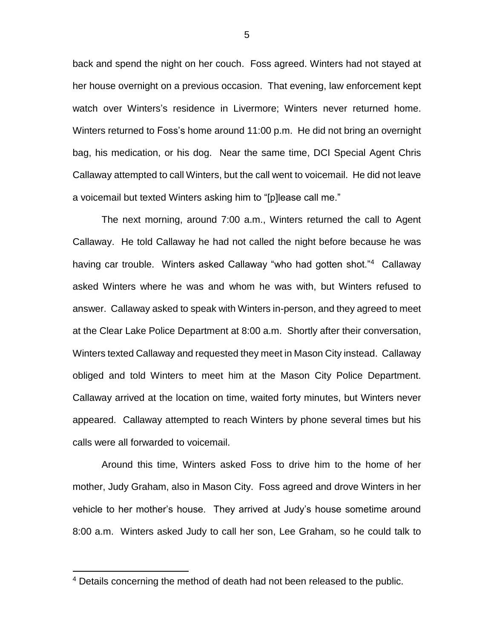back and spend the night on her couch. Foss agreed. Winters had not stayed at her house overnight on a previous occasion. That evening, law enforcement kept watch over Winters's residence in Livermore; Winters never returned home. Winters returned to Foss's home around 11:00 p.m. He did not bring an overnight bag, his medication, or his dog. Near the same time, DCI Special Agent Chris Callaway attempted to call Winters, but the call went to voicemail. He did not leave a voicemail but texted Winters asking him to "[p]lease call me."

The next morning, around 7:00 a.m., Winters returned the call to Agent Callaway. He told Callaway he had not called the night before because he was having car trouble. Winters asked Callaway "who had gotten shot."<sup>4</sup> Callaway asked Winters where he was and whom he was with, but Winters refused to answer. Callaway asked to speak with Winters in-person, and they agreed to meet at the Clear Lake Police Department at 8:00 a.m. Shortly after their conversation, Winters texted Callaway and requested they meet in Mason City instead. Callaway obliged and told Winters to meet him at the Mason City Police Department. Callaway arrived at the location on time, waited forty minutes, but Winters never appeared. Callaway attempted to reach Winters by phone several times but his calls were all forwarded to voicemail.

Around this time, Winters asked Foss to drive him to the home of her mother, Judy Graham, also in Mason City. Foss agreed and drove Winters in her vehicle to her mother's house. They arrived at Judy's house sometime around 8:00 a.m. Winters asked Judy to call her son, Lee Graham, so he could talk to

 $\overline{a}$ 

<sup>4</sup> Details concerning the method of death had not been released to the public.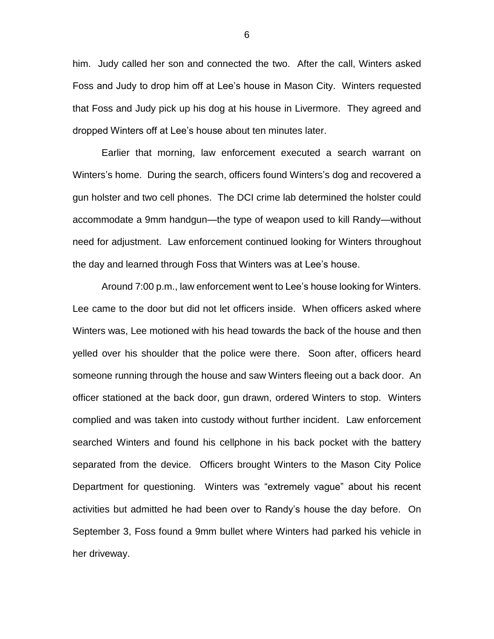him. Judy called her son and connected the two. After the call, Winters asked Foss and Judy to drop him off at Lee's house in Mason City. Winters requested that Foss and Judy pick up his dog at his house in Livermore. They agreed and dropped Winters off at Lee's house about ten minutes later.

Earlier that morning, law enforcement executed a search warrant on Winters's home. During the search, officers found Winters's dog and recovered a gun holster and two cell phones. The DCI crime lab determined the holster could accommodate a 9mm handgun—the type of weapon used to kill Randy—without need for adjustment. Law enforcement continued looking for Winters throughout the day and learned through Foss that Winters was at Lee's house.

Around 7:00 p.m., law enforcement went to Lee's house looking for Winters. Lee came to the door but did not let officers inside. When officers asked where Winters was, Lee motioned with his head towards the back of the house and then yelled over his shoulder that the police were there. Soon after, officers heard someone running through the house and saw Winters fleeing out a back door. An officer stationed at the back door, gun drawn, ordered Winters to stop. Winters complied and was taken into custody without further incident. Law enforcement searched Winters and found his cellphone in his back pocket with the battery separated from the device. Officers brought Winters to the Mason City Police Department for questioning. Winters was "extremely vague" about his recent activities but admitted he had been over to Randy's house the day before. On September 3, Foss found a 9mm bullet where Winters had parked his vehicle in her driveway.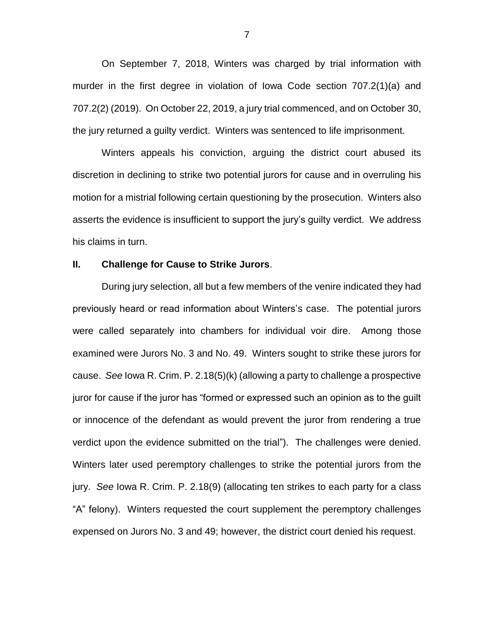On September 7, 2018, Winters was charged by trial information with murder in the first degree in violation of Iowa Code section 707.2(1)(a) and 707.2(2) (2019). On October 22, 2019, a jury trial commenced, and on October 30, the jury returned a guilty verdict. Winters was sentenced to life imprisonment.

Winters appeals his conviction, arguing the district court abused its discretion in declining to strike two potential jurors for cause and in overruling his motion for a mistrial following certain questioning by the prosecution. Winters also asserts the evidence is insufficient to support the jury's guilty verdict. We address his claims in turn.

# **II. Challenge for Cause to Strike Jurors**.

During jury selection, all but a few members of the venire indicated they had previously heard or read information about Winters's case. The potential jurors were called separately into chambers for individual voir dire. Among those examined were Jurors No. 3 and No. 49. Winters sought to strike these jurors for cause. *See* Iowa R. Crim. P. 2.18(5)(k) (allowing a party to challenge a prospective juror for cause if the juror has "formed or expressed such an opinion as to the guilt or innocence of the defendant as would prevent the juror from rendering a true verdict upon the evidence submitted on the trial"). The challenges were denied. Winters later used peremptory challenges to strike the potential jurors from the jury. *See* Iowa R. Crim. P. 2.18(9) (allocating ten strikes to each party for a class "A" felony). Winters requested the court supplement the peremptory challenges expensed on Jurors No. 3 and 49; however, the district court denied his request.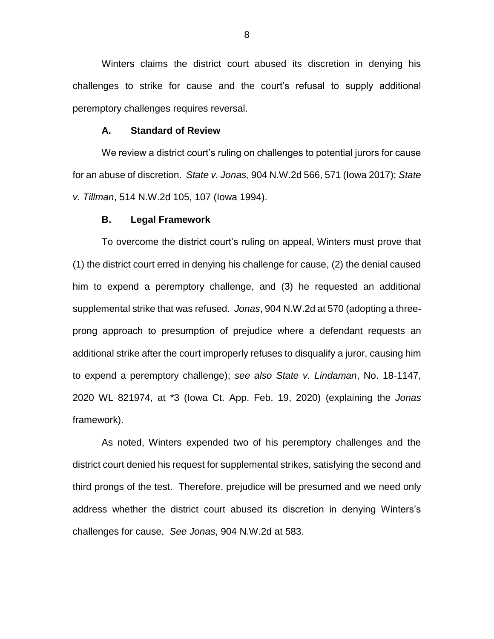Winters claims the district court abused its discretion in denying his challenges to strike for cause and the court's refusal to supply additional peremptory challenges requires reversal.

#### **A. Standard of Review**

We review a district court's ruling on challenges to potential jurors for cause for an abuse of discretion. *State v. Jonas*, 904 N.W.2d 566, 571 (Iowa 2017); *State v. Tillman*, 514 N.W.2d 105, 107 (Iowa 1994).

### **B. Legal Framework**

To overcome the district court's ruling on appeal, Winters must prove that (1) the district court erred in denying his challenge for cause, (2) the denial caused him to expend a peremptory challenge, and (3) he requested an additional supplemental strike that was refused. *Jonas*, 904 N.W.2d at 570 (adopting a threeprong approach to presumption of prejudice where a defendant requests an additional strike after the court improperly refuses to disqualify a juror, causing him to expend a peremptory challenge); *see also State v. Lindaman*, No. 18-1147, 2020 WL 821974, at \*3 (Iowa Ct. App. Feb. 19, 2020) (explaining the *Jonas* framework).

As noted, Winters expended two of his peremptory challenges and the district court denied his request for supplemental strikes, satisfying the second and third prongs of the test. Therefore, prejudice will be presumed and we need only address whether the district court abused its discretion in denying Winters's challenges for cause. *See Jonas*, 904 N.W.2d at 583.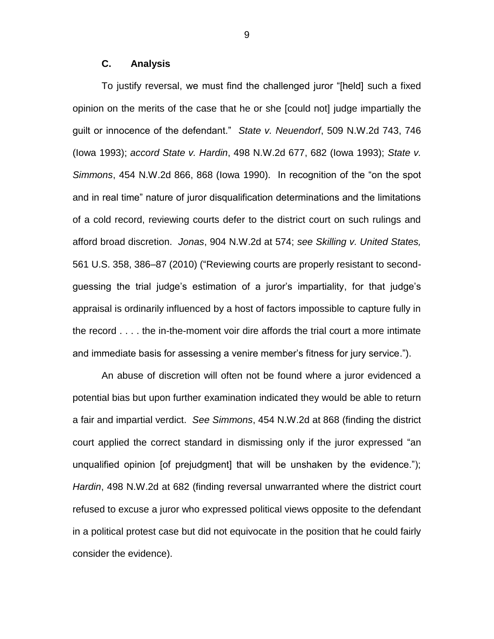# **C. Analysis**

To justify reversal, we must find the challenged juror "[held] such a fixed opinion on the merits of the case that he or she [could not] judge impartially the guilt or innocence of the defendant." *State v. Neuendorf*, 509 N.W.2d 743, 746 (Iowa 1993); *accord State v. Hardin*, 498 N.W.2d 677, 682 (Iowa 1993); *State v. Simmons*, 454 N.W.2d 866, 868 (Iowa 1990). In recognition of the "on the spot and in real time" nature of juror disqualification determinations and the limitations of a cold record, reviewing courts defer to the district court on such rulings and afford broad discretion. *Jonas*, 904 N.W.2d at 574; *see Skilling v. United States,*  561 U.S. 358, 386–87 (2010) ("Reviewing courts are properly resistant to secondguessing the trial judge's estimation of a juror's impartiality, for that judge's appraisal is ordinarily influenced by a host of factors impossible to capture fully in the record . . . . the in-the-moment voir dire affords the trial court a more intimate and immediate basis for assessing a venire member's fitness for jury service.").

An abuse of discretion will often not be found where a juror evidenced a potential bias but upon further examination indicated they would be able to return a fair and impartial verdict. *See Simmons*, 454 N.W.2d at 868 (finding the district court applied the correct standard in dismissing only if the juror expressed "an unqualified opinion [of prejudgment] that will be unshaken by the evidence."); *Hardin*, 498 N.W.2d at 682 (finding reversal unwarranted where the district court refused to excuse a juror who expressed political views opposite to the defendant in a political protest case but did not equivocate in the position that he could fairly consider the evidence).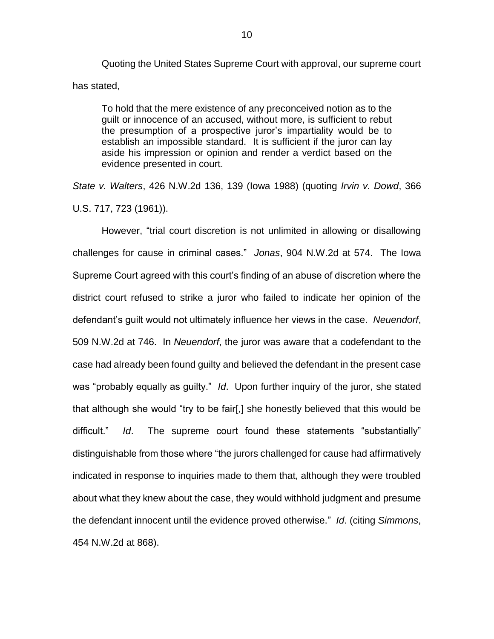Quoting the United States Supreme Court with approval, our supreme court has stated,

To hold that the mere existence of any preconceived notion as to the guilt or innocence of an accused, without more, is sufficient to rebut the presumption of a prospective juror's impartiality would be to establish an impossible standard. It is sufficient if the juror can lay aside his impression or opinion and render a verdict based on the evidence presented in court.

*State v. Walters*, 426 N.W.2d 136, 139 (Iowa 1988) (quoting *Irvin v. Dowd*, 366 U.S. 717, 723 (1961)).

However, "trial court discretion is not unlimited in allowing or disallowing challenges for cause in criminal cases." *Jonas*, 904 N.W.2d at 574. The Iowa Supreme Court agreed with this court's finding of an abuse of discretion where the district court refused to strike a juror who failed to indicate her opinion of the defendant's guilt would not ultimately influence her views in the case. *Neuendorf*, 509 N.W.2d at 746. In *Neuendorf*, the juror was aware that a codefendant to the case had already been found guilty and believed the defendant in the present case was "probably equally as guilty." *Id*. Upon further inquiry of the juror, she stated that although she would "try to be fair[,] she honestly believed that this would be difficult." *Id*. The supreme court found these statements "substantially" distinguishable from those where "the jurors challenged for cause had affirmatively indicated in response to inquiries made to them that, although they were troubled about what they knew about the case, they would withhold judgment and presume the defendant innocent until the evidence proved otherwise." *Id*. (citing *Simmons*, 454 N.W.2d at 868).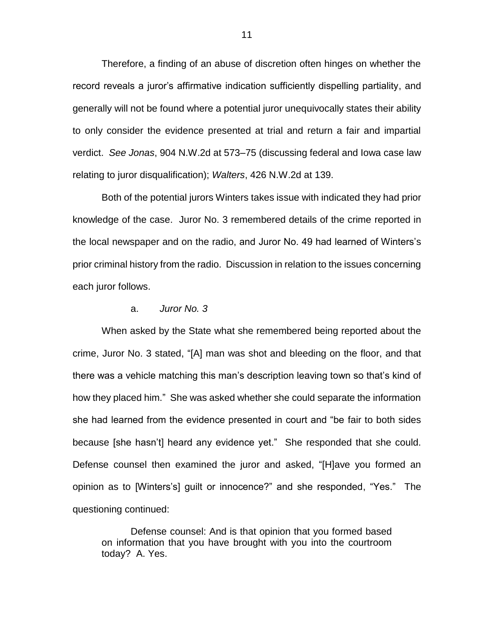Therefore, a finding of an abuse of discretion often hinges on whether the record reveals a juror's affirmative indication sufficiently dispelling partiality, and generally will not be found where a potential juror unequivocally states their ability to only consider the evidence presented at trial and return a fair and impartial verdict. *See Jonas*, 904 N.W.2d at 573–75 (discussing federal and Iowa case law relating to juror disqualification); *Walters*, 426 N.W.2d at 139.

Both of the potential jurors Winters takes issue with indicated they had prior knowledge of the case. Juror No. 3 remembered details of the crime reported in the local newspaper and on the radio, and Juror No. 49 had learned of Winters's prior criminal history from the radio. Discussion in relation to the issues concerning each juror follows.

### a. *Juror No. 3*

When asked by the State what she remembered being reported about the crime, Juror No. 3 stated, "[A] man was shot and bleeding on the floor, and that there was a vehicle matching this man's description leaving town so that's kind of how they placed him." She was asked whether she could separate the information she had learned from the evidence presented in court and "be fair to both sides because [she hasn't] heard any evidence yet." She responded that she could. Defense counsel then examined the juror and asked, "[H]ave you formed an opinion as to [Winters's] guilt or innocence?" and she responded, "Yes." The questioning continued:

Defense counsel: And is that opinion that you formed based on information that you have brought with you into the courtroom today? A. Yes.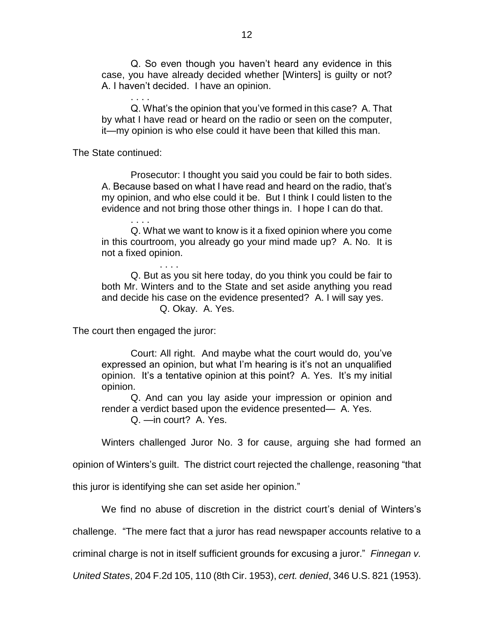Q. So even though you haven't heard any evidence in this case, you have already decided whether [Winters] is guilty or not? A. I haven't decided. I have an opinion.

Q. What's the opinion that you've formed in this case? A. That by what I have read or heard on the radio or seen on the computer, it—my opinion is who else could it have been that killed this man.

The State continued:

. . . .

. . . .

Prosecutor: I thought you said you could be fair to both sides. A. Because based on what I have read and heard on the radio, that's my opinion, and who else could it be. But I think I could listen to the evidence and not bring those other things in. I hope I can do that.

Q. What we want to know is it a fixed opinion where you come in this courtroom, you already go your mind made up? A. No. It is not a fixed opinion.

Q. But as you sit here today, do you think you could be fair to both Mr. Winters and to the State and set aside anything you read and decide his case on the evidence presented? A. I will say yes. Q. Okay. A. Yes.

The court then engaged the juror:

. . . .

Court: All right. And maybe what the court would do, you've expressed an opinion, but what I'm hearing is it's not an unqualified opinion. It's a tentative opinion at this point? A. Yes. It's my initial opinion.

Q. And can you lay aside your impression or opinion and render a verdict based upon the evidence presented— A. Yes. Q. —in court? A. Yes.

Winters challenged Juror No. 3 for cause, arguing she had formed an

opinion of Winters's guilt. The district court rejected the challenge, reasoning "that

this juror is identifying she can set aside her opinion."

We find no abuse of discretion in the district court's denial of Winters's

challenge. "The mere fact that a juror has read newspaper accounts relative to a

criminal charge is not in itself sufficient grounds for excusing a juror." *Finnegan v.* 

*United States*, 204 F.2d 105, 110 (8th Cir. 1953), *cert. denied*, 346 U.S. 821 (1953).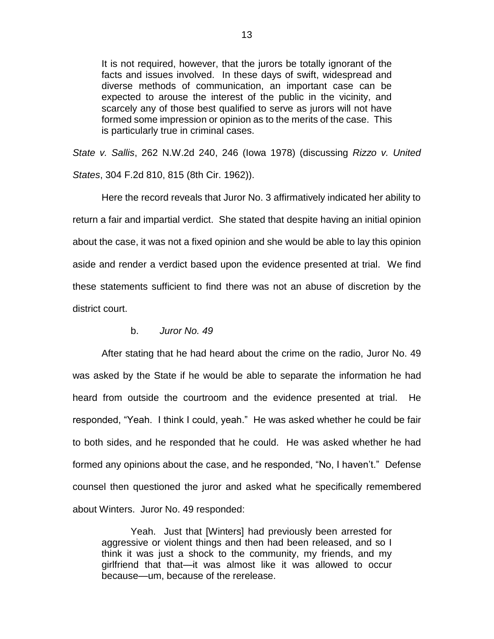It is not required, however, that the jurors be totally ignorant of the facts and issues involved. In these days of swift, widespread and diverse methods of communication, an important case can be expected to arouse the interest of the public in the vicinity, and scarcely any of those best qualified to serve as jurors will not have formed some impression or opinion as to the merits of the case. This is particularly true in criminal cases.

*State v. Sallis*, 262 N.W.2d 240, 246 (Iowa 1978) (discussing *Rizzo v. United States*, 304 F.2d 810, 815 (8th Cir. 1962)).

Here the record reveals that Juror No. 3 affirmatively indicated her ability to return a fair and impartial verdict. She stated that despite having an initial opinion about the case, it was not a fixed opinion and she would be able to lay this opinion aside and render a verdict based upon the evidence presented at trial. We find these statements sufficient to find there was not an abuse of discretion by the district court.

# b. *Juror No. 49*

After stating that he had heard about the crime on the radio, Juror No. 49 was asked by the State if he would be able to separate the information he had heard from outside the courtroom and the evidence presented at trial. He responded, "Yeah. I think I could, yeah." He was asked whether he could be fair to both sides, and he responded that he could. He was asked whether he had formed any opinions about the case, and he responded, "No, I haven't." Defense counsel then questioned the juror and asked what he specifically remembered about Winters. Juror No. 49 responded:

Yeah. Just that [Winters] had previously been arrested for aggressive or violent things and then had been released, and so I think it was just a shock to the community, my friends, and my girlfriend that that—it was almost like it was allowed to occur because—um, because of the rerelease.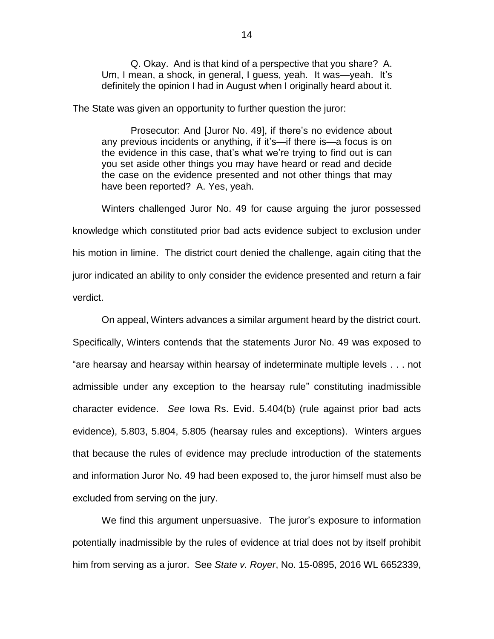Q. Okay. And is that kind of a perspective that you share? A. Um, I mean, a shock, in general, I guess, yeah. It was—yeah. It's definitely the opinion I had in August when I originally heard about it.

The State was given an opportunity to further question the juror:

Prosecutor: And [Juror No. 49], if there's no evidence about any previous incidents or anything, if it's—if there is—a focus is on the evidence in this case, that's what we're trying to find out is can you set aside other things you may have heard or read and decide the case on the evidence presented and not other things that may have been reported? A. Yes, yeah.

Winters challenged Juror No. 49 for cause arguing the juror possessed knowledge which constituted prior bad acts evidence subject to exclusion under his motion in limine. The district court denied the challenge, again citing that the juror indicated an ability to only consider the evidence presented and return a fair verdict.

On appeal, Winters advances a similar argument heard by the district court. Specifically, Winters contends that the statements Juror No. 49 was exposed to "are hearsay and hearsay within hearsay of indeterminate multiple levels . . . not admissible under any exception to the hearsay rule" constituting inadmissible character evidence. *See* Iowa Rs. Evid. 5.404(b) (rule against prior bad acts evidence), 5.803, 5.804, 5.805 (hearsay rules and exceptions). Winters argues that because the rules of evidence may preclude introduction of the statements and information Juror No. 49 had been exposed to, the juror himself must also be excluded from serving on the jury.

We find this argument unpersuasive. The juror's exposure to information potentially inadmissible by the rules of evidence at trial does not by itself prohibit him from serving as a juror. See *State v. Royer*, No. 15-0895, 2016 WL 6652339,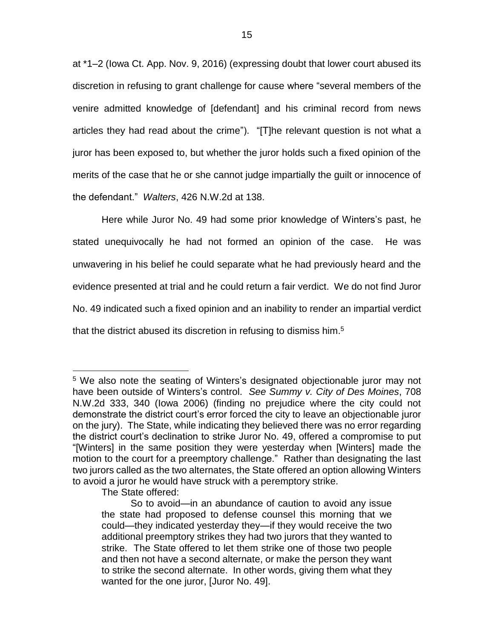at \*1–2 (Iowa Ct. App. Nov. 9, 2016) (expressing doubt that lower court abused its discretion in refusing to grant challenge for cause where "several members of the venire admitted knowledge of [defendant] and his criminal record from news articles they had read about the crime"). "[T]he relevant question is not what a juror has been exposed to, but whether the juror holds such a fixed opinion of the merits of the case that he or she cannot judge impartially the guilt or innocence of the defendant." *Walters*, 426 N.W.2d at 138.

Here while Juror No. 49 had some prior knowledge of Winters's past, he stated unequivocally he had not formed an opinion of the case. He was unwavering in his belief he could separate what he had previously heard and the evidence presented at trial and he could return a fair verdict. We do not find Juror No. 49 indicated such a fixed opinion and an inability to render an impartial verdict that the district abused its discretion in refusing to dismiss him.<sup>5</sup>

The State offered:

 $\overline{a}$ 

<sup>&</sup>lt;sup>5</sup> We also note the seating of Winters's designated objectionable juror may not have been outside of Winters's control. *See Summy v. City of Des Moines*, 708 N.W.2d 333, 340 (Iowa 2006) (finding no prejudice where the city could not demonstrate the district court's error forced the city to leave an objectionable juror on the jury). The State, while indicating they believed there was no error regarding the district court's declination to strike Juror No. 49, offered a compromise to put "[Winters] in the same position they were yesterday when [Winters] made the motion to the court for a preemptory challenge." Rather than designating the last two jurors called as the two alternates, the State offered an option allowing Winters to avoid a juror he would have struck with a peremptory strike.

So to avoid—in an abundance of caution to avoid any issue the state had proposed to defense counsel this morning that we could—they indicated yesterday they—if they would receive the two additional preemptory strikes they had two jurors that they wanted to strike. The State offered to let them strike one of those two people and then not have a second alternate, or make the person they want to strike the second alternate. In other words, giving them what they wanted for the one juror, [Juror No. 49].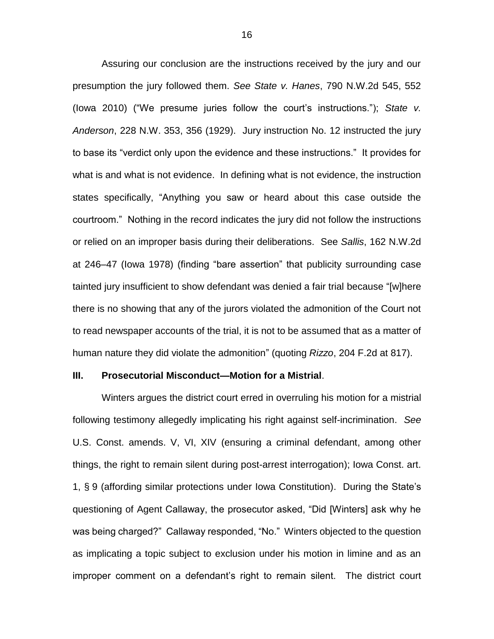Assuring our conclusion are the instructions received by the jury and our presumption the jury followed them. *See State v. Hanes*, 790 N.W.2d 545, 552 (Iowa 2010) ("We presume juries follow the court's instructions."); *State v. Anderson*, 228 N.W. 353, 356 (1929). Jury instruction No. 12 instructed the jury to base its "verdict only upon the evidence and these instructions." It provides for what is and what is not evidence. In defining what is not evidence, the instruction states specifically, "Anything you saw or heard about this case outside the courtroom." Nothing in the record indicates the jury did not follow the instructions or relied on an improper basis during their deliberations. See *Sallis*, 162 N.W.2d at 246–47 (Iowa 1978) (finding "bare assertion" that publicity surrounding case tainted jury insufficient to show defendant was denied a fair trial because "[w]here there is no showing that any of the jurors violated the admonition of the Court not to read newspaper accounts of the trial, it is not to be assumed that as a matter of human nature they did violate the admonition" (quoting *Rizzo*, 204 F.2d at 817).

#### **III. Prosecutorial Misconduct—Motion for a Mistrial**.

Winters argues the district court erred in overruling his motion for a mistrial following testimony allegedly implicating his right against self-incrimination. *See* U.S. Const. amends. V, VI, XIV (ensuring a criminal defendant, among other things, the right to remain silent during post-arrest interrogation); Iowa Const. art. 1, § 9 (affording similar protections under Iowa Constitution). During the State's questioning of Agent Callaway, the prosecutor asked, "Did [Winters] ask why he was being charged?" Callaway responded, "No." Winters objected to the question as implicating a topic subject to exclusion under his motion in limine and as an improper comment on a defendant's right to remain silent. The district court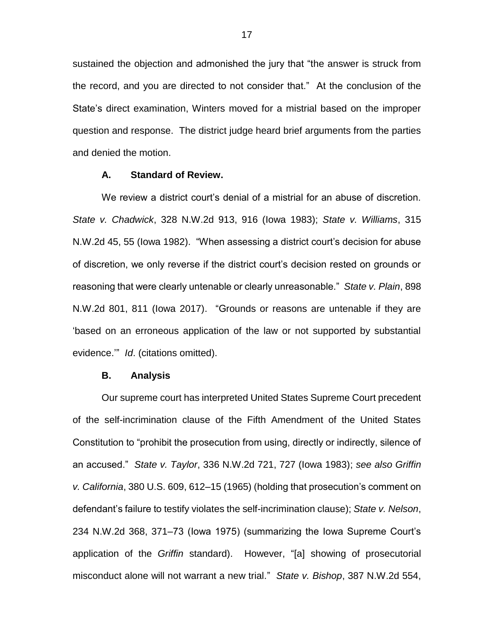sustained the objection and admonished the jury that "the answer is struck from the record, and you are directed to not consider that." At the conclusion of the State's direct examination, Winters moved for a mistrial based on the improper question and response. The district judge heard brief arguments from the parties and denied the motion.

#### **A. Standard of Review.**

We review a district court's denial of a mistrial for an abuse of discretion. *State v. Chadwick*, 328 N.W.2d 913, 916 (Iowa 1983); *State v. Williams*, 315 N.W.2d 45, 55 (Iowa 1982). "When assessing a district court's decision for abuse of discretion, we only reverse if the district court's decision rested on grounds or reasoning that were clearly untenable or clearly unreasonable." *State v. Plain*, 898 N.W.2d 801, 811 (Iowa 2017). "Grounds or reasons are untenable if they are 'based on an erroneous application of the law or not supported by substantial evidence.'" *Id*. (citations omitted).

#### **B. Analysis**

Our supreme court has interpreted United States Supreme Court precedent of the self-incrimination clause of the Fifth Amendment of the United States Constitution to "prohibit the prosecution from using, directly or indirectly, silence of an accused." *State v. Taylor*, 336 N.W.2d 721, 727 (Iowa 1983); *see also Griffin v. California*, 380 U.S. 609, 612–15 (1965) (holding that prosecution's comment on defendant's failure to testify violates the self-incrimination clause); *State v. Nelson*, 234 N.W.2d 368, 371–73 (Iowa 1975) (summarizing the Iowa Supreme Court's application of the *Griffin* standard). However, "[a] showing of prosecutorial misconduct alone will not warrant a new trial." *State v. Bishop*, 387 N.W.2d 554,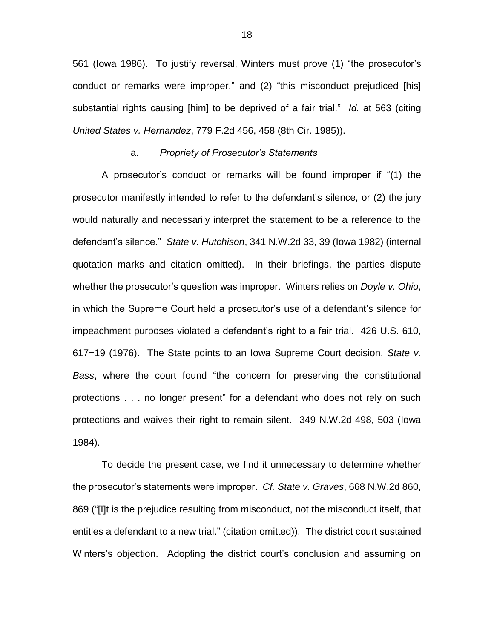561 (Iowa 1986). To justify reversal, Winters must prove (1) "the prosecutor's conduct or remarks were improper," and (2) "this misconduct prejudiced [his] substantial rights causing [him] to be deprived of a fair trial." *Id.* at 563 (citing *United States v. Hernandez*, 779 F.2d 456, 458 (8th Cir. 1985)).

#### a. *Propriety of Prosecutor's Statements*

A prosecutor's conduct or remarks will be found improper if "(1) the prosecutor manifestly intended to refer to the defendant's silence, or (2) the jury would naturally and necessarily interpret the statement to be a reference to the defendant's silence." *State v. Hutchison*, 341 N.W.2d 33, 39 (Iowa 1982) (internal quotation marks and citation omitted). In their briefings, the parties dispute whether the prosecutor's question was improper. Winters relies on *Doyle v. Ohio*, in which the Supreme Court held a prosecutor's use of a defendant's silence for impeachment purposes violated a defendant's right to a fair trial. 426 U.S. 610, 617−19 (1976). The State points to an Iowa Supreme Court decision, *State v. Bass*, where the court found "the concern for preserving the constitutional protections . . . no longer present" for a defendant who does not rely on such protections and waives their right to remain silent. 349 N.W.2d 498, 503 (Iowa 1984).

To decide the present case, we find it unnecessary to determine whether the prosecutor's statements were improper. *Cf. State v. Graves*, 668 N.W.2d 860, 869 ("[I]t is the prejudice resulting from misconduct, not the misconduct itself, that entitles a defendant to a new trial." (citation omitted)). The district court sustained Winters's objection. Adopting the district court's conclusion and assuming on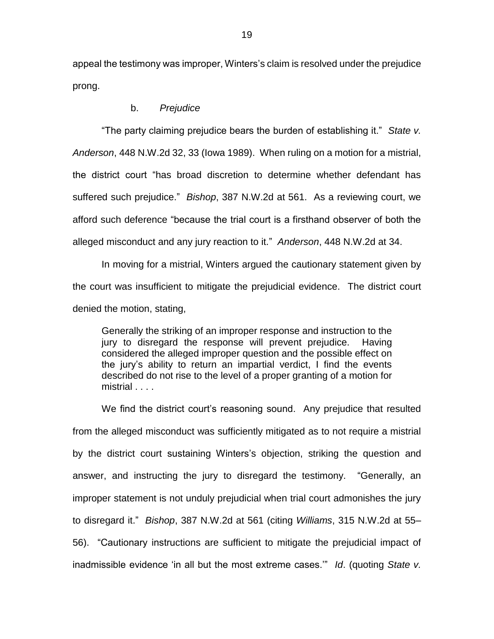appeal the testimony was improper, Winters's claim is resolved under the prejudice prong.

### b. *Prejudice*

"The party claiming prejudice bears the burden of establishing it." *State v. Anderson*, 448 N.W.2d 32, 33 (Iowa 1989). When ruling on a motion for a mistrial, the district court "has broad discretion to determine whether defendant has suffered such prejudice." *Bishop*, 387 N.W.2d at 561. As a reviewing court, we afford such deference "because the trial court is a firsthand observer of both the alleged misconduct and any jury reaction to it." *Anderson*, 448 N.W.2d at 34.

In moving for a mistrial, Winters argued the cautionary statement given by the court was insufficient to mitigate the prejudicial evidence. The district court denied the motion, stating,

Generally the striking of an improper response and instruction to the jury to disregard the response will prevent prejudice. Having considered the alleged improper question and the possible effect on the jury's ability to return an impartial verdict, I find the events described do not rise to the level of a proper granting of a motion for mistrial . . . .

We find the district court's reasoning sound. Any prejudice that resulted from the alleged misconduct was sufficiently mitigated as to not require a mistrial by the district court sustaining Winters's objection, striking the question and answer, and instructing the jury to disregard the testimony. "Generally, an improper statement is not unduly prejudicial when trial court admonishes the jury to disregard it." *Bishop*, 387 N.W.2d at 561 (citing *Williams*, 315 N.W.2d at 55– 56). "Cautionary instructions are sufficient to mitigate the prejudicial impact of inadmissible evidence 'in all but the most extreme cases.'" *Id*. (quoting *State v.*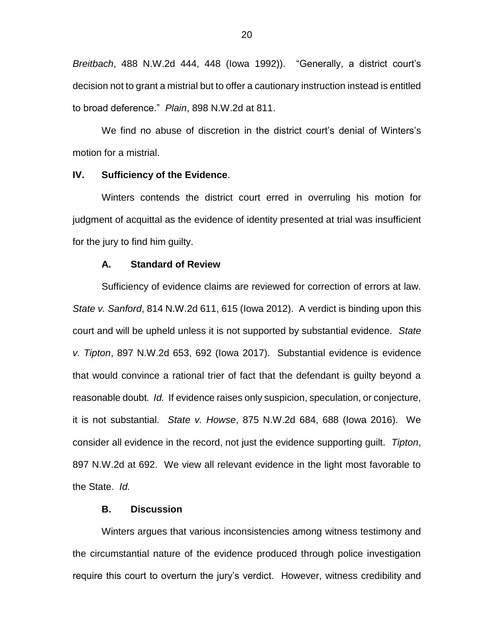*Breitbach*, 488 N.W.2d 444, 448 (Iowa 1992)). "Generally, a district court's decision not to grant a mistrial but to offer a cautionary instruction instead is entitled to broad deference." *Plain*, 898 N.W.2d at 811.

We find no abuse of discretion in the district court's denial of Winters's motion for a mistrial.

# **IV. Sufficiency of the Evidence**.

Winters contends the district court erred in overruling his motion for judgment of acquittal as the evidence of identity presented at trial was insufficient for the jury to find him guilty.

# **A. Standard of Review**

Sufficiency of evidence claims are reviewed for correction of errors at law. *State v. Sanford*, 814 N.W.2d 611, 615 (Iowa 2012). A verdict is binding upon this court and will be upheld unless it is not supported by substantial evidence. *State v. Tipton*, 897 N.W.2d 653, 692 (Iowa 2017). Substantial evidence is evidence that would convince a rational trier of fact that the defendant is guilty beyond a reasonable doubt*. Id.* If evidence raises only suspicion, speculation, or conjecture, it is not substantial. *State v. Howse*, 875 N.W.2d 684, 688 (Iowa 2016). We consider all evidence in the record, not just the evidence supporting guilt. *Tipton*, 897 N.W.2d at 692. We view all relevant evidence in the light most favorable to the State. *Id.*

### **B. Discussion**

Winters argues that various inconsistencies among witness testimony and the circumstantial nature of the evidence produced through police investigation require this court to overturn the jury's verdict. However, witness credibility and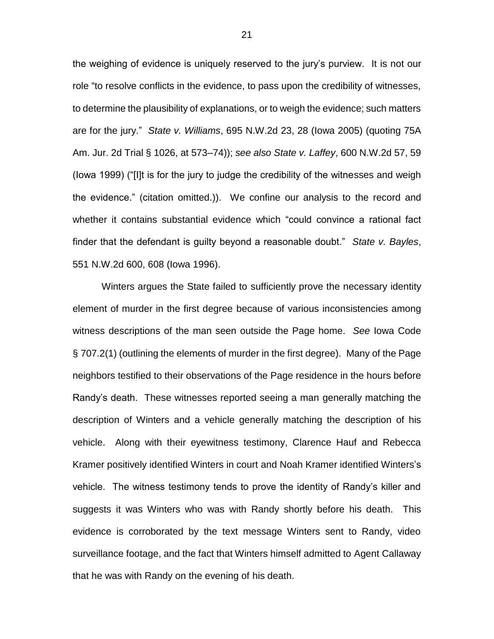the weighing of evidence is uniquely reserved to the jury's purview. It is not our role "to resolve conflicts in the evidence, to pass upon the credibility of witnesses, to determine the plausibility of explanations, or to weigh the evidence; such matters are for the jury." *State v. Williams*, 695 N.W.2d 23, 28 (Iowa 2005) (quoting 75A Am. Jur. 2d Trial § 1026, at 573–74)); *see also State v. Laffey*, 600 N.W.2d 57, 59 (Iowa 1999) ("[I]t is for the jury to judge the credibility of the witnesses and weigh the evidence." (citation omitted.)). We confine our analysis to the record and whether it contains substantial evidence which "could convince a rational fact finder that the defendant is guilty beyond a reasonable doubt." *State v. Bayles*, 551 N.W.2d 600, 608 (Iowa 1996).

Winters argues the State failed to sufficiently prove the necessary identity element of murder in the first degree because of various inconsistencies among witness descriptions of the man seen outside the Page home. *See* Iowa Code § 707.2(1) (outlining the elements of murder in the first degree). Many of the Page neighbors testified to their observations of the Page residence in the hours before Randy's death. These witnesses reported seeing a man generally matching the description of Winters and a vehicle generally matching the description of his vehicle. Along with their eyewitness testimony, Clarence Hauf and Rebecca Kramer positively identified Winters in court and Noah Kramer identified Winters's vehicle. The witness testimony tends to prove the identity of Randy's killer and suggests it was Winters who was with Randy shortly before his death. This evidence is corroborated by the text message Winters sent to Randy, video surveillance footage, and the fact that Winters himself admitted to Agent Callaway that he was with Randy on the evening of his death.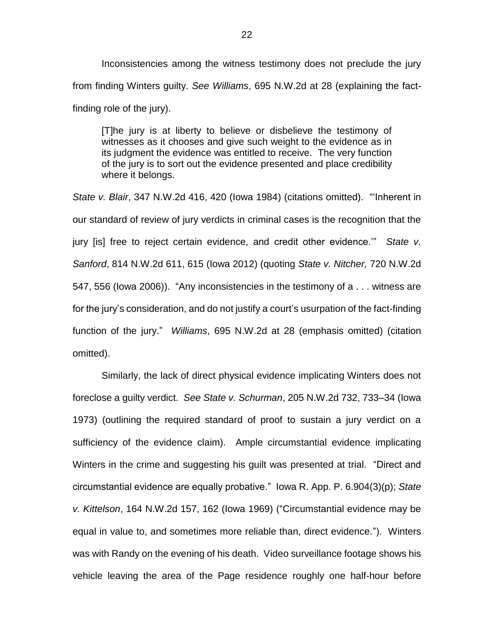Inconsistencies among the witness testimony does not preclude the jury from finding Winters guilty. *See Williams*, 695 N.W.2d at 28 (explaining the factfinding role of the jury).

[T]he jury is at liberty to believe or disbelieve the testimony of witnesses as it chooses and give such weight to the evidence as in its judgment the evidence was entitled to receive. The very function of the jury is to sort out the evidence presented and place credibility where it belongs.

*State v. Blair*, 347 N.W.2d 416, 420 (Iowa 1984) (citations omitted). "'Inherent in our standard of review of jury verdicts in criminal cases is the recognition that the jury [is] free to reject certain evidence, and credit other evidence.'" *State v. Sanford*, 814 N.W.2d 611, 615 (Iowa 2012) (quoting *State v. Nitcher,* 720 N.W.2d 547, 556 (Iowa 2006)). "Any inconsistencies in the testimony of a . . . witness are for the jury's consideration, and do not justify a court's usurpation of the fact-finding function of the jury." *Williams*, 695 N.W.2d at 28 (emphasis omitted) (citation omitted).

Similarly, the lack of direct physical evidence implicating Winters does not foreclose a guilty verdict. *See State v. Schurman*, 205 N.W.2d 732, 733–34 (Iowa 1973) (outlining the required standard of proof to sustain a jury verdict on a sufficiency of the evidence claim). Ample circumstantial evidence implicating Winters in the crime and suggesting his guilt was presented at trial. "Direct and circumstantial evidence are equally probative." Iowa R. App. P. 6.904(3)(p); *State v. Kittelson*, 164 N.W.2d 157, 162 (Iowa 1969) ("Circumstantial evidence may be equal in value to, and sometimes more reliable than, direct evidence."). Winters was with Randy on the evening of his death. Video surveillance footage shows his vehicle leaving the area of the Page residence roughly one half-hour before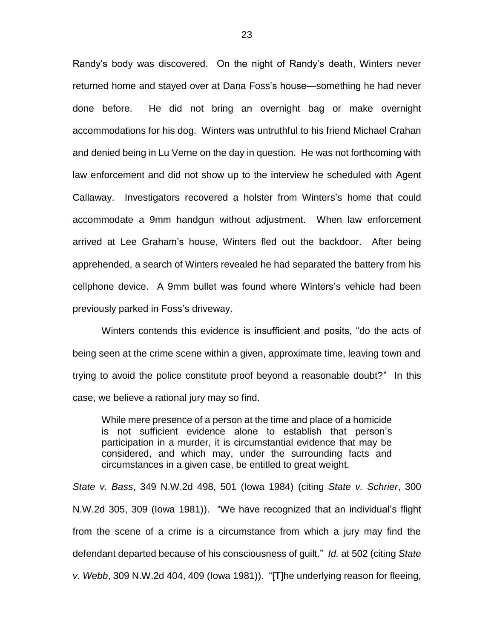Randy's body was discovered. On the night of Randy's death, Winters never returned home and stayed over at Dana Foss's house—something he had never done before. He did not bring an overnight bag or make overnight accommodations for his dog. Winters was untruthful to his friend Michael Crahan and denied being in Lu Verne on the day in question. He was not forthcoming with law enforcement and did not show up to the interview he scheduled with Agent Callaway. Investigators recovered a holster from Winters's home that could accommodate a 9mm handgun without adjustment. When law enforcement arrived at Lee Graham's house, Winters fled out the backdoor. After being apprehended, a search of Winters revealed he had separated the battery from his cellphone device. A 9mm bullet was found where Winters's vehicle had been previously parked in Foss's driveway.

Winters contends this evidence is insufficient and posits, "do the acts of being seen at the crime scene within a given, approximate time, leaving town and trying to avoid the police constitute proof beyond a reasonable doubt?" In this case, we believe a rational jury may so find.

While mere presence of a person at the time and place of a homicide is not sufficient evidence alone to establish that person's participation in a murder, it is circumstantial evidence that may be considered, and which may, under the surrounding facts and circumstances in a given case, be entitled to great weight.

*State v. Bass*, 349 N.W.2d 498, 501 (Iowa 1984) (citing *State v. Schrier*, 300 N.W.2d 305, 309 (Iowa 1981)). "We have recognized that an individual's flight from the scene of a crime is a circumstance from which a jury may find the defendant departed because of his consciousness of guilt." *Id.* at 502 (citing *State v. Webb*, 309 N.W.2d 404, 409 (Iowa 1981)). "[T]he underlying reason for fleeing,